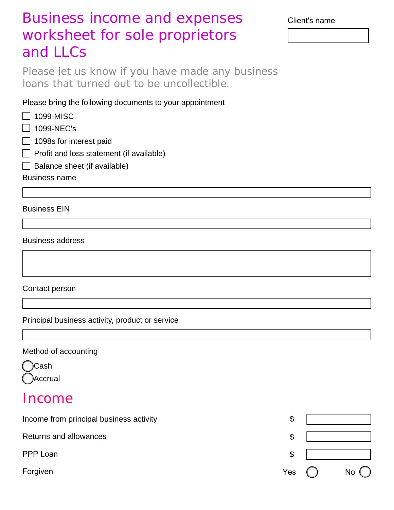# Business income and expenses worksheet for sole proprietors and LLCs

Please let us know if you have made any business loans that turned out to be uncollectible.

Please bring the following documents to your appointment

- $\Box$  1099-MISC
- $\Box$  1099-NEC's
- $\Box$  1098s for interest paid
- $\Box$  Profit and loss statement (if available)
- $\Box$  Balance sheet (if available)

Business name

Business EIN

#### Business address

Contact person

Principal business activity, product or service

#### Method of accounting

Cash Accrual

## Income

| Income from principal business activity | \$  |           |
|-----------------------------------------|-----|-----------|
| Returns and allowances                  | \$  |           |
| PPP Loan                                | \$  |           |
| Forgiven                                | Yes | <b>No</b> |

Client's name

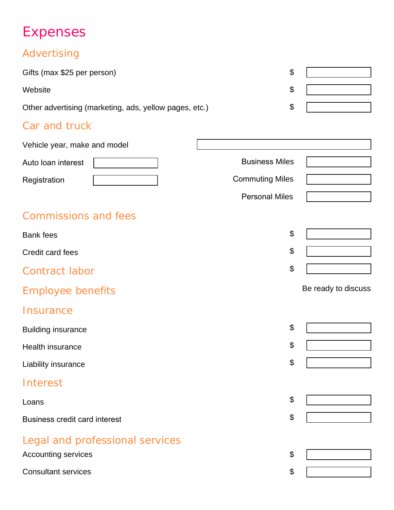# Expenses

## Advertising

| Gifts (max \$25 per person)                            |  |
|--------------------------------------------------------|--|
| Website                                                |  |
| Other advertising (marketing, ads, yellow pages, etc.) |  |
|                                                        |  |

### Car and truck

| Vehicle year, make and model         |                        |                     |
|--------------------------------------|------------------------|---------------------|
| Auto Ioan interest                   | <b>Business Miles</b>  |                     |
| Registration                         | <b>Commuting Miles</b> |                     |
|                                      | <b>Personal Miles</b>  |                     |
| <b>Commissions and fees</b>          |                        |                     |
| <b>Bank fees</b>                     | \$                     |                     |
| Credit card fees                     | \$                     |                     |
| <b>Contract labor</b>                | \$                     |                     |
| <b>Employee benefits</b>             |                        | Be ready to discuss |
| Insurance                            |                        |                     |
| <b>Building insurance</b>            | \$                     |                     |
| Health insurance                     | \$                     |                     |
| Liability insurance                  | \$                     |                     |
| Interest                             |                        |                     |
| Loans                                | \$                     |                     |
| <b>Business credit card interest</b> | \$                     |                     |
| Legal and professional services      |                        |                     |
| <b>Accounting services</b>           | \$                     |                     |
| <b>Consultant services</b>           | \$                     |                     |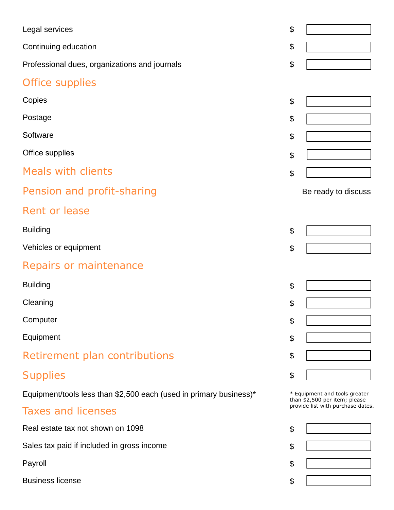| Legal services                                                     | \$                        |                                                                |
|--------------------------------------------------------------------|---------------------------|----------------------------------------------------------------|
| Continuing education                                               | \$                        |                                                                |
| Professional dues, organizations and journals                      | \$                        |                                                                |
| Office supplies                                                    |                           |                                                                |
| Copies                                                             | \$                        |                                                                |
| Postage                                                            | \$                        |                                                                |
| Software                                                           | \$                        |                                                                |
| Office supplies                                                    | \$                        |                                                                |
| <b>Meals with clients</b>                                          | $\boldsymbol{\mathsf{S}}$ |                                                                |
| Pension and profit-sharing                                         |                           | Be ready to discuss                                            |
| <b>Rent or lease</b>                                               |                           |                                                                |
| <b>Building</b>                                                    | \$                        |                                                                |
| Vehicles or equipment                                              | \$                        |                                                                |
| Repairs or maintenance                                             |                           |                                                                |
| <b>Building</b>                                                    | \$                        |                                                                |
| Cleaning                                                           | \$                        |                                                                |
| Computer                                                           | \$                        |                                                                |
| Equipment                                                          | \$                        |                                                                |
| Retirement plan contributions                                      | \$                        |                                                                |
| <b>Supplies</b>                                                    | \$                        |                                                                |
| Equipment/tools less than \$2,500 each (used in primary business)* |                           | * Equipment and tools greater<br>than \$2,500 per item; please |
| <b>Taxes and licenses</b>                                          |                           | provide list with purchase dates.                              |
| Real estate tax not shown on 1098                                  | \$                        |                                                                |
| Sales tax paid if included in gross income                         | \$                        |                                                                |
| Payroll                                                            | \$                        |                                                                |
| <b>Business license</b>                                            | \$                        |                                                                |